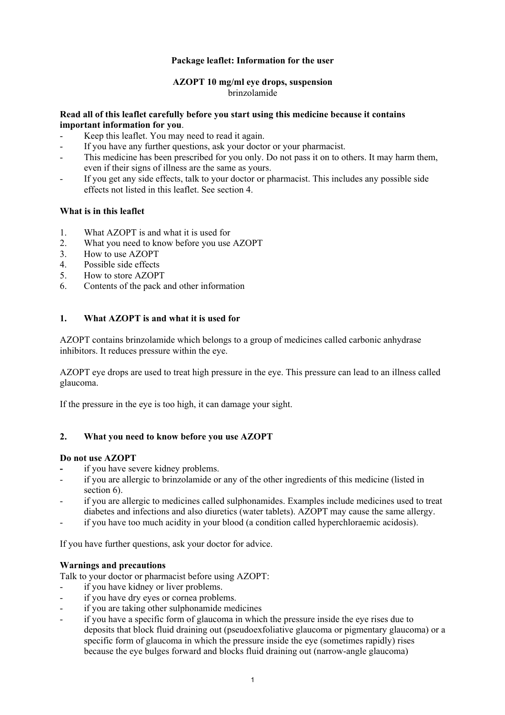# **Package leaflet: Information for the user**

# **AZOPT 10 mg/ml eye drops, suspension**  brinzolamide

### **Read all of this leaflet carefully before you start using this medicine because it contains important information for you**.

- Keep this leaflet. You may need to read it again.
- If you have any further questions, ask your doctor or your pharmacist.
- This medicine has been prescribed for you only. Do not pass it on to others. It may harm them, even if their signs of illness are the same as yours.
- If you get any side effects, talk to your doctor or pharmacist. This includes any possible side effects not listed in this leaflet. See section 4.

# **What is in this leaflet**

- 1. What AZOPT is and what it is used for
- 2. What you need to know before you use AZOPT
- 3. How to use AZOPT
- 4. Possible side effects
- 5. How to store AZOPT
- 6. Contents of the pack and other information

# **1. What AZOPT is and what it is used for**

AZOPT contains brinzolamide which belongs to a group of medicines called carbonic anhydrase inhibitors. It reduces pressure within the eye.

AZOPT eye drops are used to treat high pressure in the eye. This pressure can lead to an illness called glaucoma.

If the pressure in the eye is too high, it can damage your sight.

### **2. What you need to know before you use AZOPT**

### **Do not use AZOPT**

- if you have severe kidney problems.
- if you are allergic to brinzolamide or any of the other ingredients of this medicine (listed in section 6).
- if you are allergic to medicines called sulphonamides. Examples include medicines used to treat diabetes and infections and also diuretics (water tablets). AZOPT may cause the same allergy.
- if you have too much acidity in your blood (a condition called hyperchloraemic acidosis).

If you have further questions, ask your doctor for advice.

### **Warnings and precautions**

Talk to your doctor or pharmacist before using AZOPT:

- if you have kidney or liver problems.
- if you have dry eyes or cornea problems.
- if you are taking other sulphonamide medicines
- if you have a specific form of glaucoma in which the pressure inside the eye rises due to deposits that block fluid draining out (pseudoexfoliative glaucoma or pigmentary glaucoma) or a specific form of glaucoma in which the pressure inside the eye (sometimes rapidly) rises because the eye bulges forward and blocks fluid draining out (narrow-angle glaucoma)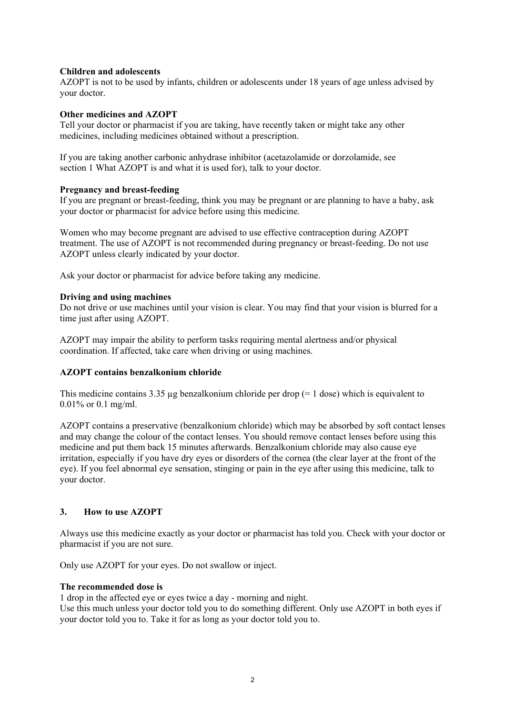# **Children and adolescents**

AZOPT is not to be used by infants, children or adolescents under 18 years of age unless advised by your doctor.

### **Other medicines and AZOPT**

Tell your doctor or pharmacist if you are taking, have recently taken or might take any other medicines, including medicines obtained without a prescription.

If you are taking another carbonic anhydrase inhibitor (acetazolamide or dorzolamide, see section 1 What AZOPT is and what it is used for), talk to your doctor.

### **Pregnancy and breast-feeding**

If you are pregnant or breast-feeding, think you may be pregnant or are planning to have a baby, ask your doctor or pharmacist for advice before using this medicine.

Women who may become pregnant are advised to use effective contraception during AZOPT treatment. The use of AZOPT is not recommended during pregnancy or breast-feeding. Do not use AZOPT unless clearly indicated by your doctor.

Ask your doctor or pharmacist for advice before taking any medicine.

### **Driving and using machines**

Do not drive or use machines until your vision is clear. You may find that your vision is blurred for a time just after using AZOPT.

AZOPT may impair the ability to perform tasks requiring mental alertness and/or physical coordination. If affected, take care when driving or using machines.

### **AZOPT contains benzalkonium chloride**

This medicine contains 3.35 µg benzalkonium chloride per drop (= 1 dose) which is equivalent to 0.01% or 0.1 mg/ml.

AZOPT contains a preservative (benzalkonium chloride) which may be absorbed by soft contact lenses and may change the colour of the contact lenses. You should remove contact lenses before using this medicine and put them back 15 minutes afterwards. Benzalkonium chloride may also cause eye irritation, especially if you have dry eyes or disorders of the cornea (the clear layer at the front of the eye). If you feel abnormal eye sensation, stinging or pain in the eye after using this medicine, talk to your doctor.

# **3. How to use AZOPT**

Always use this medicine exactly as your doctor or pharmacist has told you. Check with your doctor or pharmacist if you are not sure.

Only use AZOPT for your eyes. Do not swallow or inject.

### **The recommended dose is**

1 drop in the affected eye or eyes twice a day - morning and night. Use this much unless your doctor told you to do something different. Only use AZOPT in both eyes if your doctor told you to. Take it for as long as your doctor told you to.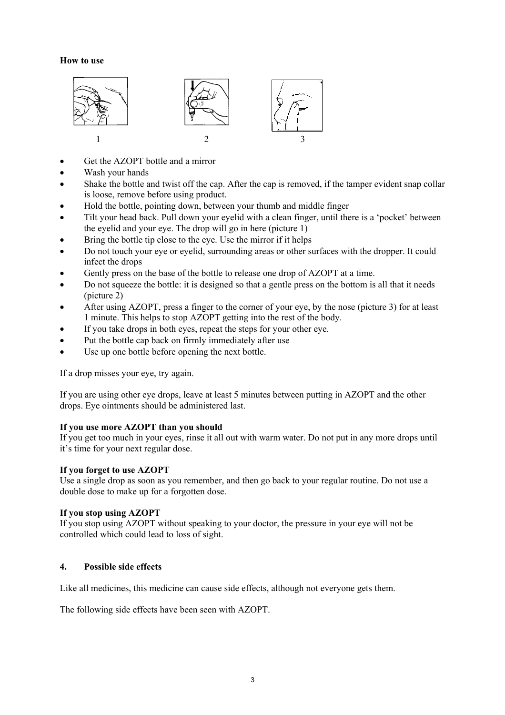#### **How to use**



- Get the AZOPT bottle and a mirror
- Wash your hands
- Shake the bottle and twist off the cap. After the cap is removed, if the tamper evident snap collar is loose, remove before using product.
- Hold the bottle, pointing down, between your thumb and middle finger
- Tilt your head back. Pull down your eyelid with a clean finger, until there is a 'pocket' between the eyelid and your eye. The drop will go in here (picture 1)
- Bring the bottle tip close to the eye. Use the mirror if it helps
- Do not touch your eye or eyelid, surrounding areas or other surfaces with the dropper. It could infect the drops
- Gently press on the base of the bottle to release one drop of AZOPT at a time.
- Do not squeeze the bottle: it is designed so that a gentle press on the bottom is all that it needs (picture 2)
- After using AZOPT, press a finger to the corner of your eye, by the nose (picture 3) for at least 1 minute. This helps to stop AZOPT getting into the rest of the body.
- If you take drops in both eyes, repeat the steps for your other eye.
- Put the bottle cap back on firmly immediately after use
- Use up one bottle before opening the next bottle.

If a drop misses your eye, try again.

If you are using other eye drops, leave at least 5 minutes between putting in AZOPT and the other drops. Eye ointments should be administered last.

### **If you use more AZOPT than you should**

If you get too much in your eyes, rinse it all out with warm water. Do not put in any more drops until it's time for your next regular dose.

### **If you forget to use AZOPT**

Use a single drop as soon as you remember, and then go back to your regular routine. Do not use a double dose to make up for a forgotten dose.

### **If you stop using AZOPT**

If you stop using AZOPT without speaking to your doctor, the pressure in your eye will not be controlled which could lead to loss of sight.

### **4. Possible side effects**

Like all medicines, this medicine can cause side effects, although not everyone gets them.

The following side effects have been seen with AZOPT.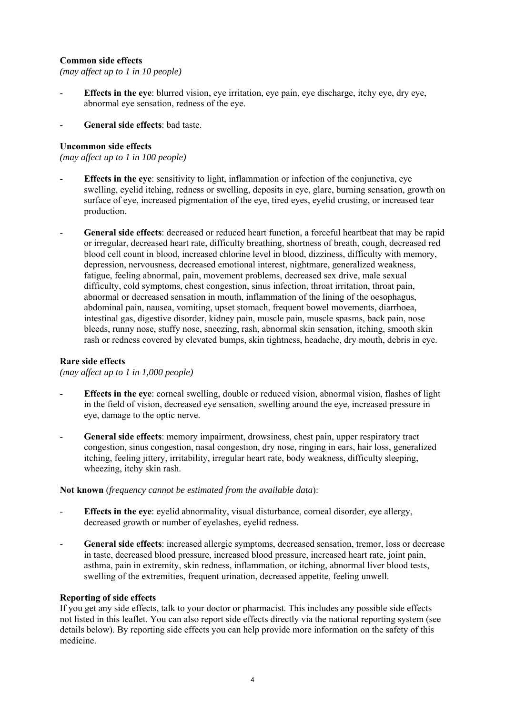# **Common side effects**

*(may affect up to 1 in 10 people)* 

- **Effects in the eye**: blurred vision, eye irritation, eye pain, eye discharge, itchy eye, dry eye, abnormal eye sensation, redness of the eye.
- **General side effects**: bad taste.

### **Uncommon side effects**

*(may affect up to 1 in 100 people)* 

- **Effects in the eye**: sensitivity to light, inflammation or infection of the conjunctiva, eye swelling, eyelid itching, redness or swelling, deposits in eye, glare, burning sensation, growth on surface of eye, increased pigmentation of the eye, tired eyes, eyelid crusting, or increased tear production.
- **General side effects**: decreased or reduced heart function, a forceful heartbeat that may be rapid or irregular, decreased heart rate, difficulty breathing, shortness of breath, cough, decreased red blood cell count in blood, increased chlorine level in blood, dizziness, difficulty with memory, depression, nervousness, decreased emotional interest, nightmare, generalized weakness, fatigue, feeling abnormal, pain, movement problems, decreased sex drive, male sexual difficulty, cold symptoms, chest congestion, sinus infection, throat irritation, throat pain, abnormal or decreased sensation in mouth, inflammation of the lining of the oesophagus, abdominal pain, nausea, vomiting, upset stomach, frequent bowel movements, diarrhoea, intestinal gas, digestive disorder, kidney pain, muscle pain, muscle spasms, back pain, nose bleeds, runny nose, stuffy nose, sneezing, rash, abnormal skin sensation, itching, smooth skin rash or redness covered by elevated bumps, skin tightness, headache, dry mouth, debris in eye.

### **Rare side effects**

*(may affect up to 1 in 1,000 people)* 

- **Effects in the eye**: corneal swelling, double or reduced vision, abnormal vision, flashes of light in the field of vision, decreased eye sensation, swelling around the eye, increased pressure in eye, damage to the optic nerve.
- **General side effects**: memory impairment, drowsiness, chest pain, upper respiratory tract congestion, sinus congestion, nasal congestion, dry nose, ringing in ears, hair loss, generalized itching, feeling jittery, irritability, irregular heart rate, body weakness, difficulty sleeping, wheezing, itchy skin rash.

### **Not known** (*frequency cannot be estimated from the available data*):

- **Effects in the eye**: eyelid abnormality, visual disturbance, corneal disorder, eye allergy, decreased growth or number of eyelashes, eyelid redness.
- **General side effects**: increased allergic symptoms, decreased sensation, tremor, loss or decrease in taste, decreased blood pressure, increased blood pressure, increased heart rate, joint pain, asthma, pain in extremity, skin redness, inflammation, or itching, abnormal liver blood tests, swelling of the extremities, frequent urination, decreased appetite, feeling unwell.

#### **Reporting of side effects**

If you get any side effects, talk to your doctor or pharmacist. This includes any possible side effects not listed in this leaflet. You can also report side effects directly via the national reporting system (see details below). By reporting side effects you can help provide more information on the safety of this medicine.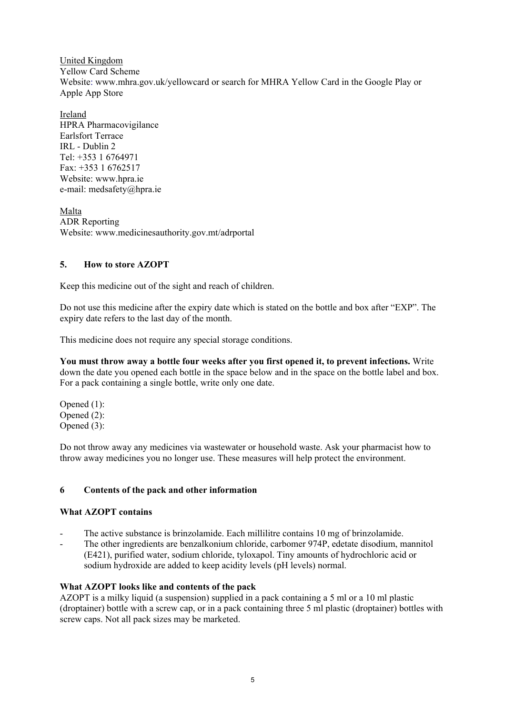United Kingdom Yellow Card Scheme Website: www.mhra.gov.uk/yellowcard or search for MHRA Yellow Card in the Google Play or Apple App Store

Ireland HPRA Pharmacovigilance Earlsfort Terrace IRL - Dublin 2 Tel: +353 1 6764971 Fax: +353 1 6762517 Website: www.hpra.ie e-mail: medsafety@hpra.ie

Malta ADR Reporting Website: www.medicinesauthority.gov.mt/adrportal

# **5. How to store AZOPT**

Keep this medicine out of the sight and reach of children.

Do not use this medicine after the expiry date which is stated on the bottle and box after "EXP". The expiry date refers to the last day of the month.

This medicine does not require any special storage conditions.

**You must throw away a bottle four weeks after you first opened it, to prevent infections.** Write down the date you opened each bottle in the space below and in the space on the bottle label and box. For a pack containing a single bottle, write only one date.

Opened (1): Opened (2): Opened (3):

Do not throw away any medicines via wastewater or household waste. Ask your pharmacist how to throw away medicines you no longer use. These measures will help protect the environment.

# **6 Contents of the pack and other information**

### **What AZOPT contains**

- The active substance is brinzolamide. Each millilitre contains 10 mg of brinzolamide.
- The other ingredients are benzalkonium chloride, carbomer 974P, edetate disodium, mannitol (E421), purified water, sodium chloride, tyloxapol. Tiny amounts of hydrochloric acid or sodium hydroxide are added to keep acidity levels (pH levels) normal.

# **What AZOPT looks like and contents of the pack**

AZOPT is a milky liquid (a suspension) supplied in a pack containing a 5 ml or a 10 ml plastic (droptainer) bottle with a screw cap, or in a pack containing three 5 ml plastic (droptainer) bottles with screw caps. Not all pack sizes may be marketed.